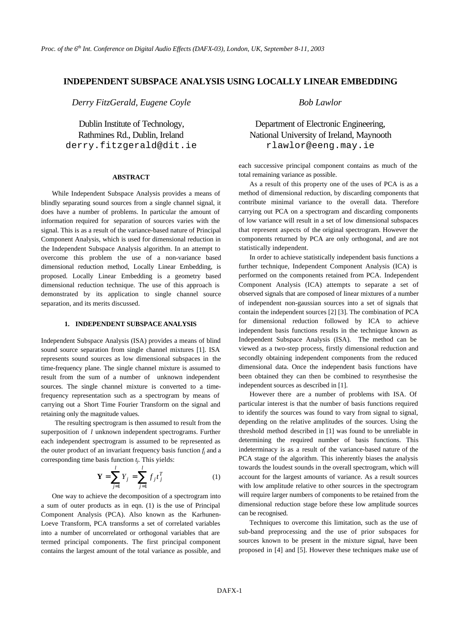## **INDEPENDENT SUBSPACE ANALYSIS USING LOCALLY LINEAR EMBEDDING**

*Derry FitzGerald, Eugene Coyle Bob Lawlor*

derry.fitzgerald@dit.ie rlawlor@eeng.may.ie

#### **ABSTRACT**

While Independent Subspace Analysis provides a means of blindly separating sound sources from a single channel signal, it does have a number of problems. In particular the amount of information required for separation of sources varies with the signal. This is as a result of the variance-based nature of Principal Component Analysis, which is used for dimensional reduction in the Independent Subspace Analysis algorithm. In an attempt to overcome this problem the use of a non-variance based dimensional reduction method, Locally Linear Embedding, is proposed. Locally Linear Embedding is a geometry based dimensional reduction technique. The use of this approach is demonstrated by its application to single channel source separation, and its merits discussed.

#### **1. INDEPENDENT SUBSPACE ANALYSIS**

Independent Subspace Analysis (ISA) provides a means of blind sound source separation from single channel mixtures [1]. ISA represents sound sources as low dimensional subspaces in the time-frequency plane. The single channel mixture is assumed to result from the sum of a number of unknown independent sources. The single channel mixture is converted to a timefrequency representation such as a spectrogram by means of carrying out a Short Time Fourier Transform on the signal and retaining only the magnitude values.

The resulting spectrogram is then assumed to result from the superposition of *l* unknown independent spectrograms. Further each independent spectrogram is assumed to be represented as the outer product of an invariant frequency basis function  $f_j$  and a corresponding time basis function *t<sup>j</sup>* . This yields:

$$
\mathbf{Y} = \sum_{j=1}^{l} Y_j = \sum_{j=1}^{l} f_j t_j^T
$$
 (1)

One way to achieve the decomposition of a spectrogram into a sum of outer products as in eqn. (1) is the use of Principal Component Analysis (PCA). Also known as the Karhunen-Loeve Transform, PCA transforms a set of correlated variables into a number of uncorrelated or orthogonal variables that are termed principal components. The first principal component contains the largest amount of the total variance as possible, and

# Dublin Institute of Technology, Department of Electronic Engineering, Rathmines Rd., Dublin, Ireland National University of Ireland, Maynooth

each successive principal component contains as much of the total remaining variance as possible.

As a result of this property one of the uses of PCA is as a method of dimensional reduction, by discarding components that contribute minimal variance to the overall data. Therefore carrying out PCA on a spectrogram and discarding components of low variance will result in a set of low dimensional subspaces that represent aspects of the original spectrogram. However the components returned by PCA are only orthogonal, and are not statistically independent.

In order to achieve statistically independent basis functions a further technique, Independent Component Analysis (ICA) is performed on the components retained from PCA. Independent Component Analysis (ICA) attempts to separate a set of observed signals that are composed of linear mixtures of a number of independent non-gaussian sources into a set of signals that contain the independent sources [2] [3]. The combination of PCA for dimensional reduction followed by ICA to achieve independent basis functions results in the technique known as Independent Subspace Analysis (ISA). The method can be viewed as a two-step process, firstly dimensional reduction and secondly obtaining independent components from the reduced dimensional data. Once the independent basis functions have been obtained they can then be combined to resynthesise the independent sources as described in [1].

However there are a number of problems with ISA. Of particular interest is that the number of basis functions required to identify the sources was found to vary from signal to signal, depending on the relative amplitudes of the sources. Using the threshold method described in [1] was found to be unreliable in determining the required number of basis functions. This indeterminacy is as a result of the variance-based nature of the PCA stage of the algorithm. This inherently biases the analysis towards the loudest sounds in the overall spectrogram, which will account for the largest amounts of variance. As a result sources with low amplitude relative to other sources in the spectrogram will require larger numbers of components to be retained from the dimensional reduction stage before these low amplitude sources can be recognised.

Techniques to overcome this limitation, such as the use of sub-band preprocessing and the use of prior subspaces for sources known to be present in the mixture signal, have been proposed in [4] and [5]. However these techniques make use of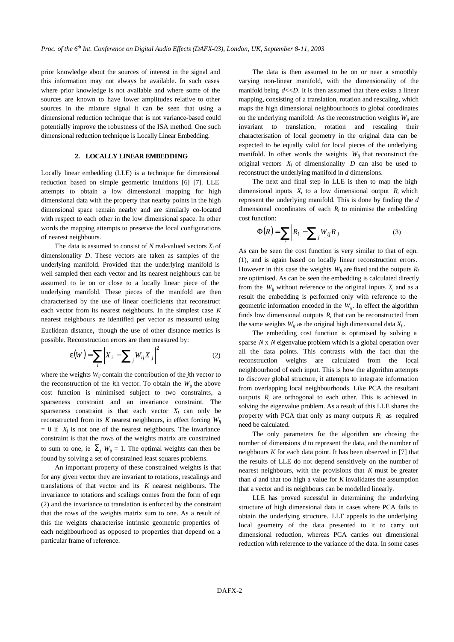prior knowledge about the sources of interest in the signal and this information may not always be available. In such cases where prior knowledge is not available and where some of the sources are known to have lower amplitudes relative to other sources in the mixture signal it can be seen that using a dimensional reduction technique that is not variance-based could potentially improve the robustness of the ISA method. One such dimensional reduction technique is Locally Linear Embedding.

#### **2. LOCALLY LINEAR EMBEDDING**

Locally linear embedding (LLE) is a technique for dimensional reduction based on simple geometric intuitions [6] [7]. LLE attempts to obtain a low dimensional mapping for high dimensional data with the property that nearby points in the high dimensional space remain nearby and are similarly co-located with respect to each other in the low dimensional space. In other words the mapping attempts to preserve the local configurations of nearest neighbours.

The data is assumed to consist of  $N$  real-valued vectors  $X_i$  of dimensionality *D*. These vectors are taken as samples of the underlying manifold. Provided that the underlying manifold is well sampled then each vector and its nearest neighbours can be assumed to le on or close to a locally linear piece of the underlying manifold. These pieces of the manifold are then characterised by the use of linear coefficients that reconstruct each vector from its nearest neighbours. In the simplest case *K* nearest neighbours are identified per vector as measured using Euclidean distance, though the use of other distance metrics is possible. Reconstruction errors are then measured by:

$$
\boldsymbol{e}(W) = \sum_{i} \left| \boldsymbol{X}_{i} - \sum_{j} \boldsymbol{W}_{ij} \boldsymbol{X}_{j} \right|^{2} \tag{2}
$$

where the weights  $W_{ii}$  contain the contribution of the *j*th vector to the reconstruction of the *i*th vector. To obtain the  $W_{ij}$  the above cost function is minimised subject to two constraints, a sparseness constraint and an invariance constraint. The sparseness constraint is that each vector  $X_i$  can only be reconstructed from its *K* nearest neighbours, in effect forcing *Wij*  $= 0$  if  $X_j$  is not one of the nearest neighbours. The invariance constraint is that the rows of the weights matrix are constrained to sum to one, ie  $\sum_j W_{ij} = 1$ . The optimal weights can then be found by solving a set of constrained least squares problems.

An important property of these constrained weights is that for any given vector they are invariant to rotations, rescalings and translations of that vector and its *K* nearest neighbours. The invariance to rotations and scalings comes from the form of eqn (2) and the invariance to translation is enforced by the constraint that the rows of the weights matrix sum to one. As a result of this the weights characterise intrinsic geometric properties of each neighbourhood as opposed to properties that depend on a particular frame of reference.

The data is then assumed to be on or near a smoothly varying non-linear manifold, with the dimensionality of the manifold being  $d \ll D$ . It is then assumed that there exists a linear mapping, consisting of a translation, rotation and rescaling, which maps the high dimensional neighbourhoods to global coordinates on the underlying manifold. As the reconstruction weights  $W_{ii}$  are invariant to translation, rotation and rescaling their characterisation of local geometry in the original data can be expected to be equally valid for local pieces of the underlying manifold. In other words the weights  $W_{ij}$  that reconstruct the original vectors  $X_i$  of dimensionality  $D$  can also be used to reconstruct the underlying manifold in *d* dimensions.

The next and final step in LLE is then to map the high dimensional inputs  $X_i$  to a low dimensional output  $R_i$  which represent the underlying manifold. This is done by finding the *d*  dimensional coordinates of each  $R_i$  to minimise the embedding cost function:

$$
\Phi(R) = \sum_{i} \left| R_i - \sum_{j} W_{ij} R_j \right| \tag{3}
$$

As can be seen the cost function is very similar to that of eqn. (1), and is again based on locally linear reconstruction errors. However in this case the weights  $W_{ii}$  are fixed and the outputs  $R_i$ are optimised. As can be seen the embedding is calculated directly from the  $W_{ij}$  without reference to the original inputs  $X_i$  and as a result the embedding is performed only with reference to the geometric information encoded in the *Wij*. In effect the algorithm finds low dimensional outputs  $R_i$  that can be reconstructed from the same weights  $W_{ij}$  as the original high dimensional data  $X_i$ .

The embedding cost function is optimised by solving a sparse *N* x *N* eigenvalue problem which is a global operation over all the data points. This contrasts with the fact that the reconstruction weights are calculated from the local neighbourhood of each input. This is how the algorithm attempts to discover global structure, it attempts to integrate information from overlapping local neighbourhoods. Like PCA the resultant outputs  $R_i$  are orthogonal to each other. This is achieved in solving the eigenvalue problem. As a result of this LLE shares the property with PCA that only as many outputs  $R_i$  as required need be calculated.

The only parameters for the algorithm are chosing the number of dimensions *d* to represent the data, and the number of neighbours *K* for each data point. It has been observed in [7] that the results of LLE do not depend sensitively on the number of nearest neighbours, with the provisions that *K* must be greater than *d* and that too high a value for *K* invalidates the assumption that a vector and its neighbours can be modelled linearly.

LLE has proved sucessful in determining the underlying structure of high dimensional data in cases where PCA fails to obtain the underlying structure. LLE appeals to the underlying local geometry of the data presented to it to carry out dimensional reduction, whereas PCA carries out dimensional reduction with reference to the variance of the data. In some cases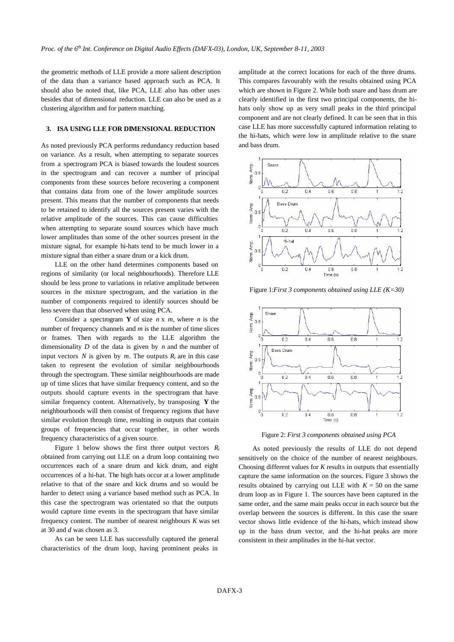the geometric methods of LLE provide a more salient description of the data than a variance based approach such as PCA. It should also be noted that, like PCA, LLE also has other uses besides that of dimensional reduction. LLE can also be used as a clustering algorithm and for pattern matching.

#### **3. ISA USING LLE FOR DIMENSIONAL REDUCTION**

As noted previously PCA performs redundancy reduction based on variance. As a result, when attempting to separate sources from a spectrogram PCA is biased towards the loudest sources in the spectrogram and can recover a number of principal components from these sources before recovering a component that contains data from one of the lower amplitude sources present. This means that the number of components that needs to be retained to identify all the sources present varies with the relative amplitude of the sources. This can cause difficulties when attempting to separate sound sources which have much lower amplitudes than some of the other sources present in the mixture signal, for example hi-hats tend to be much lower in a mixture signal than either a snare drum or a kick drum.

LLE on the other hand determines components based on regions of similarity (or local neighbourhoods). Therefore LLE should be less prone to variations in relative amplitude between sources in the mixture spectrogram, and the variation in the number of components required to identify sources should be less severe than that observed when using PCA.

Consider a spectrogram **Y** of size *n* x *m*, where *n* is the number of frequency channels and *m* is the number of time slices or frames. Then with regards to the LLE algorithm the dimensionality *D* of the data is given by *n* and the number of input vectors *N* is given by *m*. The outputs  $R_i$  are in this case taken to represent the evolution of similar neighbourhoods through the spectrogram. These similar neighbourhoods are made up of time slices that have similar frequency content, and so the outputs should capture events in the spectrogram that have similar frequency content. Alternatively, by transposing **Y** the neighbourhoods will then consist of frequency regions that have similar evolution through time, resulting in outputs that contain groups of frequencies that occur together, in other words frequency characteristics of a given source.

Figure 1 below shows the first three output vectors  $R_i$ obtained from carrying out LLE on a drum loop containing two occurrences each of a snare drum and kick drum, and eight occurrences of a hi-hat. The high hats occur at a lower amplitude relative to that of the snare and kick drums and so would be harder to detect using a variance based method such as PCA. In this case the spectrogram was orientated so that the outputs would capture time events in the spectrogram that have similar frequency content. The number of nearest neighbours *K* was set at 30 and *d* was chosen as 3.

As can be seen LLE has successfully captured the general characteristics of the drum loop, having prominent peaks in

amplitude at the correct locations for each of the three drums. This compares favourably with the results obtained using PCA which are shown in Figure 2. While both snare and bass drum are clearly identified in the first two principal components, the hihats only show up as very small peaks in the third principal component and are not clearly defined. It can be seen that in this case LLE has more successfully captured information relating to the hi-hats, which were low in amplitude relative to the snare and bass drum.



Figure 1:*First 3 components obtained using LLE (K=30)*



Figure 2: *First 3 components obtained using PCA*

As noted previously the results of LLE do not depend sensitively on the choice of the number of nearest neighbours. Choosing different values for *K* results in outputs that essentially capture the same information on the sources. Figure 3 shows the results obtained by carrying out LLE with  $K = 50$  on the same drum loop as in Figure 1. The sources have been captured in the same order, and the same main peaks occur in each source but the overlap between the sources is different. In this case the snare vector shows little evidence of the hi-hats, which instead show up in the bass drum vector, and the hi-hat peaks are more consistent in their amplitudes in the hi-hat vector.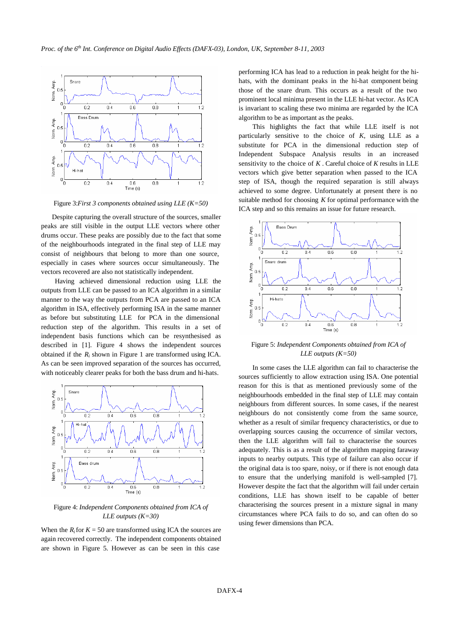

Figure 3:*First 3 components obtained using LLE (K=50)*

Despite capturing the overall structure of the sources, smaller peaks are still visible in the output LLE vectors where other drums occur. These peaks are possibly due to the fact that some of the neighbourhoods integrated in the final step of LLE may consist of neighbours that belong to more than one source, especially in cases where sources occur simultaneously. The vectors recovered are also not statistically independent.

Having achieved dimensional reduction using LLE the outputs from LLE can be passed to an ICA algorithm in a similar manner to the way the outputs from PCA are passed to an ICA algorithm in ISA, effectively performing ISA in the same manner as before but substituting LLE for PCA in the dimensional reduction step of the algorithm. This results in a set of independent basis functions which can be resynthesised as described in [1]. Figure 4 shows the independent sources obtained if the  $R_i$  shown in Figure 1 are transformed using ICA. As can be seen improved separation of the sources has occurred, with noticeably clearer peaks for both the bass drum and hi-hats.



Figure 4: *Independent Components obtained from ICA of LLE outputs (K=30)*

When the  $R_i$  for  $K = 50$  are transformed using ICA the sources are again recovered correctly. The independent components obtained are shown in Figure 5. However as can be seen in this case

performing ICA has lead to a reduction in peak height for the hihats, with the dominant peaks in the hi-hat component being those of the snare drum. This occurs as a result of the two prominent local minima present in the LLE hi-hat vector. As ICA is invariant to scaling these two minima are regarded by the ICA algorithm to be as important as the peaks.

This highlights the fact that while LLE itself is not particularly sensitive to the choice of *K*, using LLE as a substitute for PCA in the dimensional reduction step of Independent Subspace Analysis results in an increased sensitivity to the choice of *K* . Careful choice of *K* results in LLE vectors which give better separation when passed to the ICA step of ISA, though the required separation is still always achieved to some degree. Unfortunately at present there is no suitable method for choosing *K* for optimal performance with the ICA step and so this remains an issue for future research.



Figure 5: *Independent Components obtained from ICA of LLE outputs (K=50)*

In some cases the LLE algorithm can fail to characterise the sources sufficiently to allow extraction using ISA. One potential reason for this is that as mentioned previously some of the neighbourhoods embedded in the final step of LLE may contain neighbours from different sources. In some cases, if the nearest neighbours do not consistently come from the same source, whether as a result of similar frequency characteristics, or due to overlapping sources causing the occurrence of similar vectors, then the LLE algorithm will fail to characterise the sources adequately. This is as a result of the algorithm mapping faraway inputs to nearby outputs. This type of failure can also occur if the original data is too spare, noisy, or if there is not enough data to ensure that the underlying manifold is well-sampled [7]. However despite the fact that the algorithm will fail under certain conditions, LLE has shown itself to be capable of better characterising the sources present in a mixture signal in many circumstances where PCA fails to do so, and can often do so using fewer dimensions than PCA.